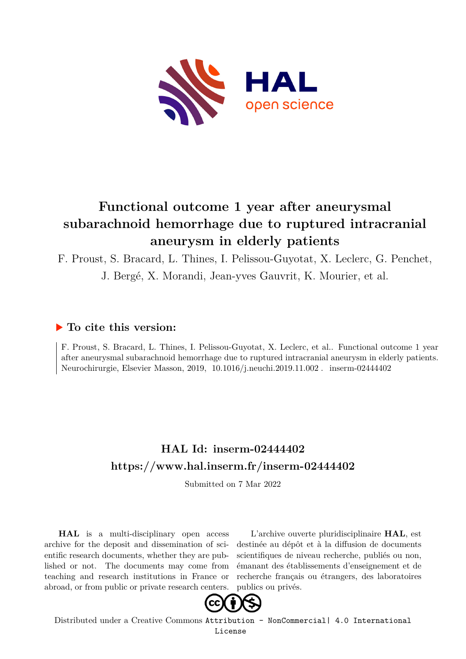

# **Functional outcome 1 year after aneurysmal subarachnoid hemorrhage due to ruptured intracranial aneurysm in elderly patients**

F. Proust, S. Bracard, L. Thines, I. Pelissou-Guyotat, X. Leclerc, G. Penchet, J. Bergé, X. Morandi, Jean-yves Gauvrit, K. Mourier, et al.

# **To cite this version:**

F. Proust, S. Bracard, L. Thines, I. Pelissou-Guyotat, X. Leclerc, et al.. Functional outcome 1 year after aneurysmal subarachnoid hemorrhage due to ruptured intracranial aneurysm in elderly patients. Neurochirurgie, Elsevier Masson, 2019, 10.1016/j.neuchi.2019.11.002. inserm-02444402

# **HAL Id: inserm-02444402 <https://www.hal.inserm.fr/inserm-02444402>**

Submitted on 7 Mar 2022

**HAL** is a multi-disciplinary open access archive for the deposit and dissemination of scientific research documents, whether they are published or not. The documents may come from teaching and research institutions in France or abroad, or from public or private research centers.

L'archive ouverte pluridisciplinaire **HAL**, est destinée au dépôt et à la diffusion de documents scientifiques de niveau recherche, publiés ou non, émanant des établissements d'enseignement et de recherche français ou étrangers, des laboratoires publics ou privés.



Distributed under a Creative Commons [Attribution - NonCommercial| 4.0 International](http://creativecommons.org/licenses/by-nc/4.0/) [License](http://creativecommons.org/licenses/by-nc/4.0/)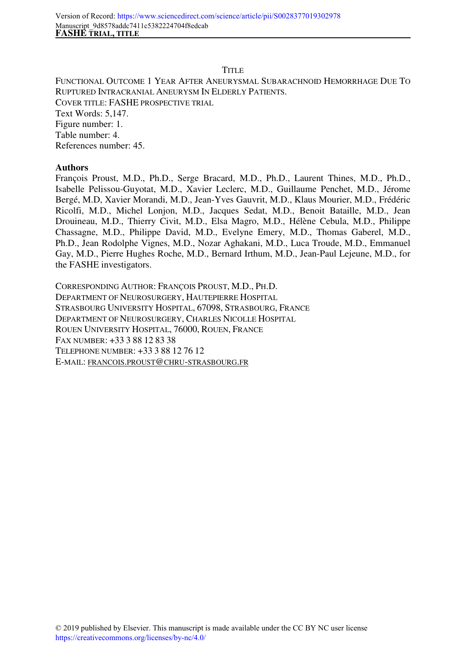#### **TITLE**

FUNCTIONAL OUTCOME 1 YEAR AFTER ANEURYSMAL SUBARACHNOID HEMORRHAGE DUE TO RUPTURED INTRACRANIAL ANEURYSM IN ELDERLY PATIENTS. COVER TITLE: FASHE PROSPECTIVE TRIAL Text Words: 5,147. Figure number: 1. Table number: 4. References number: 45.

#### **Authors**

François Proust, M.D., Ph.D., Serge Bracard, M.D., Ph.D., Laurent Thines, M.D., Ph.D., Isabelle Pelissou-Guyotat, M.D., Xavier Leclerc, M.D., Guillaume Penchet, M.D., Jérome Bergé, M.D, Xavier Morandi, M.D., Jean-Yves Gauvrit, M.D., Klaus Mourier, M.D., Frédéric Ricolfi, M.D., Michel Lonjon, M.D., Jacques Sedat, M.D., Benoit Bataille, M.D., Jean Drouineau, M.D., Thierry Civit, M.D., Elsa Magro, M.D., Hélène Cebula, M.D., Philippe Chassagne, M.D., Philippe David, M.D., Evelyne Emery, M.D., Thomas Gaberel, M.D., Ph.D., Jean Rodolphe Vignes, M.D., Nozar Aghakani, M.D., Luca Troude, M.D., Emmanuel Gay, M.D., Pierre Hughes Roche, M.D., Bernard Irthum, M.D., Jean-Paul Lejeune, M.D., for the FASHE investigators.

CORRESPONDING AUTHOR: FRANÇOIS PROUST, M.D., PH.D. DEPARTMENT OF NEUROSURGERY, HAUTEPIERRE HOSPITAL STRASBOURG UNIVERSITY HOSPITAL, 67098, STRASBOURG, FRANCE DEPARTMENT OF NEUROSURGERY, CHARLES NICOLLE HOSPITAL ROUEN UNIVERSITY HOSPITAL, 76000, ROUEN, FRANCE FAX NUMBER: +33 3 88 12 83 38 TELEPHONE NUMBER: +33 3 88 12 76 12 E-MAIL: FRANCOIS.PROUST@CHRU-STRASBOURG.FR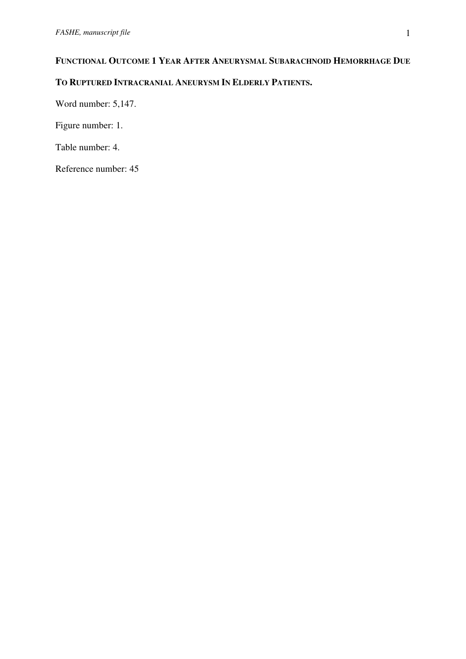# **FUNCTIONAL OUTCOME 1 YEAR AFTER ANEURYSMAL SUBARACHNOID HEMORRHAGE DUE**

# **TO RUPTURED INTRACRANIAL ANEURYSM IN ELDERLY PATIENTS.**

Word number: 5,147.

Figure number: 1.

Table number: 4.

Reference number: 45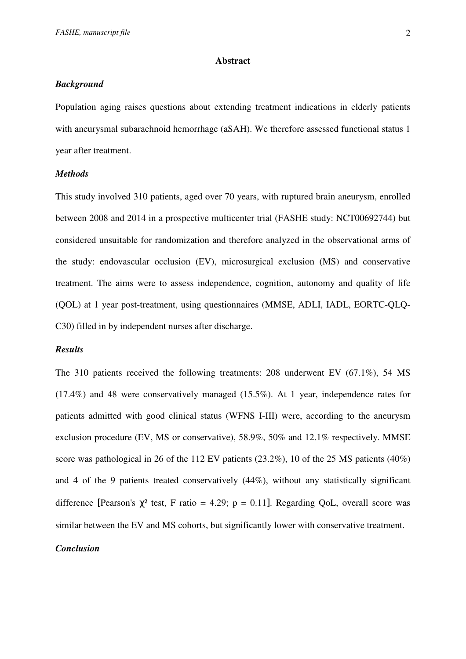#### **Abstract**

## *Background*

Population aging raises questions about extending treatment indications in elderly patients with aneurysmal subarachnoid hemorrhage (aSAH). We therefore assessed functional status 1 year after treatment.

#### *Methods*

This study involved 310 patients, aged over 70 years, with ruptured brain aneurysm, enrolled between 2008 and 2014 in a prospective multicenter trial (FASHE study: NCT00692744) but considered unsuitable for randomization and therefore analyzed in the observational arms of the study: endovascular occlusion (EV), microsurgical exclusion (MS) and conservative treatment. The aims were to assess independence, cognition, autonomy and quality of life (QOL) at 1 year post-treatment, using questionnaires (MMSE, ADLI, IADL, EORTC-QLQ-C30) filled in by independent nurses after discharge.

#### *Results*

The 310 patients received the following treatments: 208 underwent EV (67.1%), 54 MS (17.4%) and 48 were conservatively managed (15.5%). At 1 year, independence rates for patients admitted with good clinical status (WFNS I-III) were, according to the aneurysm exclusion procedure (EV, MS or conservative), 58.9%, 50% and 12.1% respectively. MMSE score was pathological in 26 of the 112 EV patients (23.2%), 10 of the 25 MS patients (40%) and 4 of the 9 patients treated conservatively (44%), without any statistically significant difference [Pearson's  $\chi^2$  test, F ratio = 4.29; p = 0.11]. Regarding QoL, overall score was similar between the EV and MS cohorts, but significantly lower with conservative treatment.

# *Conclusion*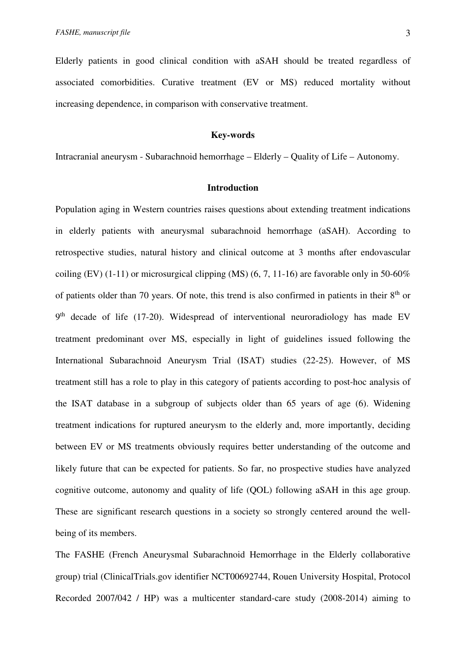Elderly patients in good clinical condition with aSAH should be treated regardless of associated comorbidities. Curative treatment (EV or MS) reduced mortality without increasing dependence, in comparison with conservative treatment.

#### **Key-words**

Intracranial aneurysm - Subarachnoid hemorrhage – Elderly – Quality of Life – Autonomy.

### **Introduction**

Population aging in Western countries raises questions about extending treatment indications in elderly patients with aneurysmal subarachnoid hemorrhage (aSAH). According to retrospective studies, natural history and clinical outcome at 3 months after endovascular coiling (EV) (1-11) or microsurgical clipping (MS)  $(6, 7, 11-16)$  are favorable only in 50-60% of patients older than 70 years. Of note, this trend is also confirmed in patients in their  $8<sup>th</sup>$  or 9<sup>th</sup> decade of life (17-20). Widespread of interventional neuroradiology has made EV treatment predominant over MS, especially in light of guidelines issued following the International Subarachnoid Aneurysm Trial (ISAT) studies (22-25). However, of MS treatment still has a role to play in this category of patients according to post-hoc analysis of the ISAT database in a subgroup of subjects older than 65 years of age (6). Widening treatment indications for ruptured aneurysm to the elderly and, more importantly, deciding between EV or MS treatments obviously requires better understanding of the outcome and likely future that can be expected for patients. So far, no prospective studies have analyzed cognitive outcome, autonomy and quality of life (QOL) following aSAH in this age group. These are significant research questions in a society so strongly centered around the wellbeing of its members.

The FASHE (French Aneurysmal Subarachnoid Hemorrhage in the Elderly collaborative group) trial (ClinicalTrials.gov identifier NCT00692744, Rouen University Hospital, Protocol Recorded 2007/042 / HP) was a multicenter standard-care study (2008-2014) aiming to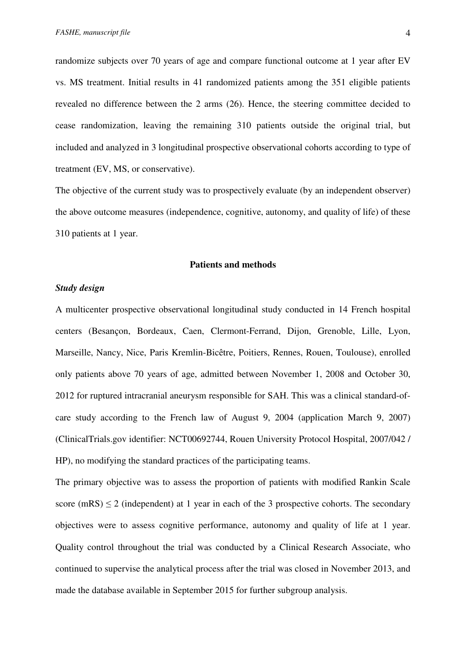randomize subjects over 70 years of age and compare functional outcome at 1 year after EV vs. MS treatment. Initial results in 41 randomized patients among the 351 eligible patients revealed no difference between the 2 arms (26). Hence, the steering committee decided to cease randomization, leaving the remaining 310 patients outside the original trial, but included and analyzed in 3 longitudinal prospective observational cohorts according to type of treatment (EV, MS, or conservative).

The objective of the current study was to prospectively evaluate (by an independent observer) the above outcome measures (independence, cognitive, autonomy, and quality of life) of these 310 patients at 1 year.

#### **Patients and methods**

#### *Study design*

A multicenter prospective observational longitudinal study conducted in 14 French hospital centers (Besançon, Bordeaux, Caen, Clermont-Ferrand, Dijon, Grenoble, Lille, Lyon, Marseille, Nancy, Nice, Paris Kremlin-Bicêtre, Poitiers, Rennes, Rouen, Toulouse), enrolled only patients above 70 years of age, admitted between November 1, 2008 and October 30, 2012 for ruptured intracranial aneurysm responsible for SAH. This was a clinical standard-ofcare study according to the French law of August 9, 2004 (application March 9, 2007) (ClinicalTrials.gov identifier: NCT00692744, Rouen University Protocol Hospital, 2007/042 / HP), no modifying the standard practices of the participating teams.

The primary objective was to assess the proportion of patients with modified Rankin Scale score (mRS)  $\leq$  2 (independent) at 1 year in each of the 3 prospective cohorts. The secondary objectives were to assess cognitive performance, autonomy and quality of life at 1 year. Quality control throughout the trial was conducted by a Clinical Research Associate, who continued to supervise the analytical process after the trial was closed in November 2013, and made the database available in September 2015 for further subgroup analysis.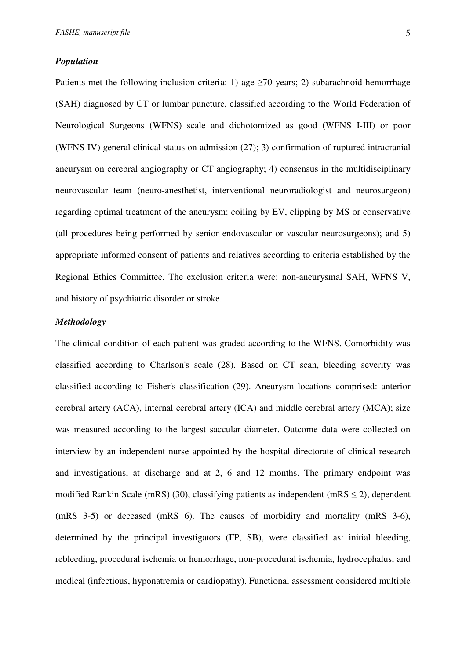#### *Population*

Patients met the following inclusion criteria: 1) age  $\geq 70$  years; 2) subarachnoid hemorrhage (SAH) diagnosed by CT or lumbar puncture, classified according to the World Federation of Neurological Surgeons (WFNS) scale and dichotomized as good (WFNS I-III) or poor (WFNS IV) general clinical status on admission (27); 3) confirmation of ruptured intracranial aneurysm on cerebral angiography or CT angiography; 4) consensus in the multidisciplinary neurovascular team (neuro-anesthetist, interventional neuroradiologist and neurosurgeon) regarding optimal treatment of the aneurysm: coiling by EV, clipping by MS or conservative (all procedures being performed by senior endovascular or vascular neurosurgeons); and 5) appropriate informed consent of patients and relatives according to criteria established by the Regional Ethics Committee. The exclusion criteria were: non-aneurysmal SAH, WFNS V, and history of psychiatric disorder or stroke.

## *Methodology*

The clinical condition of each patient was graded according to the WFNS. Comorbidity was classified according to Charlson's scale (28). Based on CT scan, bleeding severity was classified according to Fisher's classification (29). Aneurysm locations comprised: anterior cerebral artery (ACA), internal cerebral artery (ICA) and middle cerebral artery (MCA); size was measured according to the largest saccular diameter. Outcome data were collected on interview by an independent nurse appointed by the hospital directorate of clinical research and investigations, at discharge and at 2, 6 and 12 months. The primary endpoint was modified Rankin Scale (mRS) (30), classifying patients as independent (mRS  $\leq$ 2), dependent (mRS 3-5) or deceased (mRS 6). The causes of morbidity and mortality (mRS 3-6), determined by the principal investigators (FP, SB), were classified as: initial bleeding, rebleeding, procedural ischemia or hemorrhage, non-procedural ischemia, hydrocephalus, and medical (infectious, hyponatremia or cardiopathy). Functional assessment considered multiple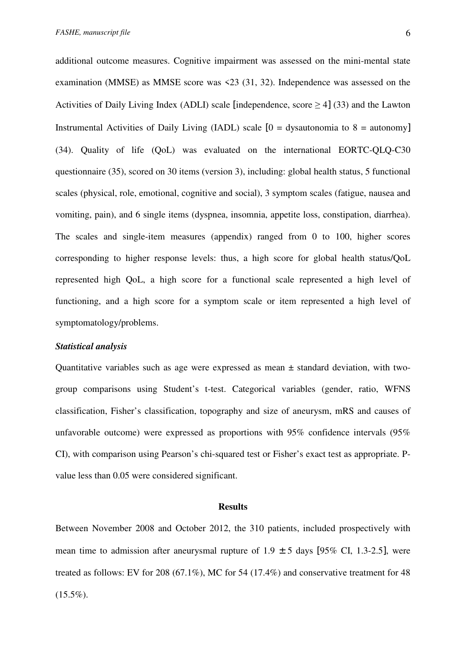additional outcome measures. Cognitive impairment was assessed on the mini-mental state examination (MMSE) as MMSE score was <23 (31, 32). Independence was assessed on the Activities of Daily Living Index (ADLI) scale [independence, score  $\geq$  4] (33) and the Lawton Instrumental Activities of Daily Living (IADL) scale  $[0 =$  dysautonomia to  $8 =$  autonomy] (34). Quality of life (QoL) was evaluated on the international EORTC-QLQ-C30 questionnaire (35), scored on 30 items (version 3), including: global health status, 5 functional scales (physical, role, emotional, cognitive and social), 3 symptom scales (fatigue, nausea and vomiting, pain), and 6 single items (dyspnea, insomnia, appetite loss, constipation, diarrhea). The scales and single-item measures (appendix) ranged from 0 to 100, higher scores corresponding to higher response levels: thus, a high score for global health status/QoL represented high QoL, a high score for a functional scale represented a high level of functioning, and a high score for a symptom scale or item represented a high level of symptomatology/problems.

#### *Statistical analysis*

Quantitative variables such as age were expressed as mean ± standard deviation, with twogroup comparisons using Student's t-test. Categorical variables (gender, ratio, WFNS classification, Fisher's classification, topography and size of aneurysm, mRS and causes of unfavorable outcome) were expressed as proportions with 95% confidence intervals (95% CI), with comparison using Pearson's chi-squared test or Fisher's exact test as appropriate. Pvalue less than 0.05 were considered significant.

#### **Results**

Between November 2008 and October 2012, the 310 patients, included prospectively with mean time to admission after aneurysmal rupture of  $1.9 \pm 5$  days [95% CI, 1.3-2.5], were treated as follows: EV for 208 (67.1%), MC for 54 (17.4%) and conservative treatment for 48  $(15.5\%).$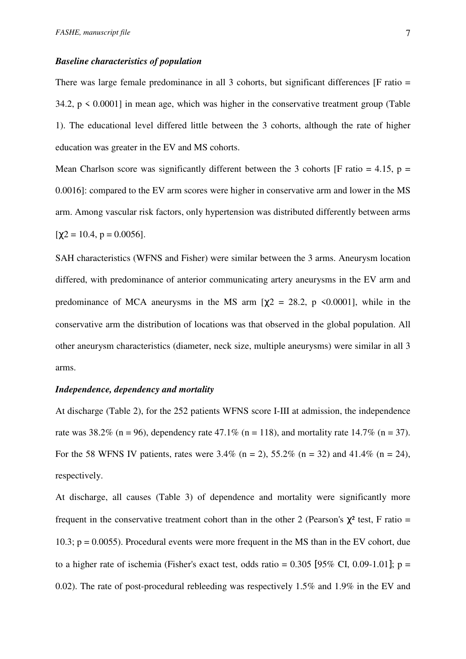#### *Baseline characteristics of population*

There was large female predominance in all 3 cohorts, but significant differences [F ratio = 34.2,  $p \le 0.0001$  in mean age, which was higher in the conservative treatment group (Table 1). The educational level differed little between the 3 cohorts, although the rate of higher education was greater in the EV and MS cohorts.

Mean Charlson score was significantly different between the 3 cohorts [F ratio = 4.15,  $p =$ 0.0016]: compared to the EV arm scores were higher in conservative arm and lower in the MS arm. Among vascular risk factors, only hypertension was distributed differently between arms  $[\chi2 = 10.4, p = 0.0056].$ 

SAH characteristics (WFNS and Fisher) were similar between the 3 arms. Aneurysm location differed, with predominance of anterior communicating artery aneurysms in the EV arm and predominance of MCA aneurysms in the MS arm  $[\chi^2 = 28.2, p \le 0.0001]$ , while in the conservative arm the distribution of locations was that observed in the global population. All other aneurysm characteristics (diameter, neck size, multiple aneurysms) were similar in all 3 arms.

## *Independence, dependency and mortality*

At discharge (Table 2), for the 252 patients WFNS score I-III at admission, the independence rate was 38.2% (n = 96), dependency rate 47.1% (n = 118), and mortality rate 14.7% (n = 37). For the 58 WFNS IV patients, rates were  $3.4\%$  (n = 2),  $55.2\%$  (n = 32) and  $41.4\%$  (n = 24), respectively.

At discharge, all causes (Table 3) of dependence and mortality were significantly more frequent in the conservative treatment cohort than in the other 2 (Pearson's  $χ²$  test, F ratio = 10.3; p = 0.0055). Procedural events were more frequent in the MS than in the EV cohort, due to a higher rate of ischemia (Fisher's exact test, odds ratio =  $0.305$  [95% CI, 0.09-1.01]; p = 0.02). The rate of post-procedural rebleeding was respectively 1.5% and 1.9% in the EV and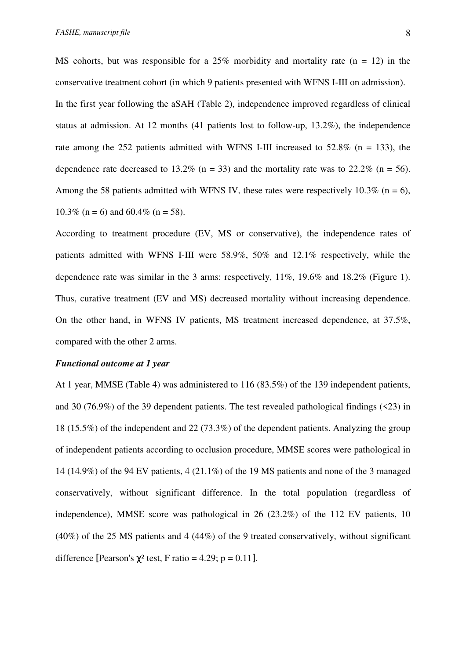MS cohorts, but was responsible for a 25% morbidity and mortality rate  $(n = 12)$  in the conservative treatment cohort (in which 9 patients presented with WFNS I-III on admission). In the first year following the aSAH (Table 2), independence improved regardless of clinical status at admission. At 12 months (41 patients lost to follow-up, 13.2%), the independence rate among the 252 patients admitted with WFNS I-III increased to  $52.8\%$  (n = 133), the dependence rate decreased to 13.2% (n = 33) and the mortality rate was to 22.2% (n = 56). Among the 58 patients admitted with WFNS IV, these rates were respectively 10.3% ( $n = 6$ ), 10.3% (n = 6) and 60.4% (n = 58).

According to treatment procedure (EV, MS or conservative), the independence rates of patients admitted with WFNS I-III were 58.9%, 50% and 12.1% respectively, while the dependence rate was similar in the 3 arms: respectively, 11%, 19.6% and 18.2% (Figure 1). Thus, curative treatment (EV and MS) decreased mortality without increasing dependence. On the other hand, in WFNS IV patients, MS treatment increased dependence, at 37.5%, compared with the other 2 arms.

#### *Functional outcome at 1 year*

At 1 year, MMSE (Table 4) was administered to 116 (83.5%) of the 139 independent patients, and 30 (76.9%) of the 39 dependent patients. The test revealed pathological findings  $(23)$  in 18 (15.5%) of the independent and 22 (73.3%) of the dependent patients. Analyzing the group of independent patients according to occlusion procedure, MMSE scores were pathological in 14 (14.9%) of the 94 EV patients, 4 (21.1%) of the 19 MS patients and none of the 3 managed conservatively, without significant difference. In the total population (regardless of independence), MMSE score was pathological in 26 (23.2%) of the 112 EV patients, 10 (40%) of the 25 MS patients and 4 (44%) of the 9 treated conservatively, without significant difference [Pearson's  $\chi^2$  test, F ratio = 4.29; p = 0.11].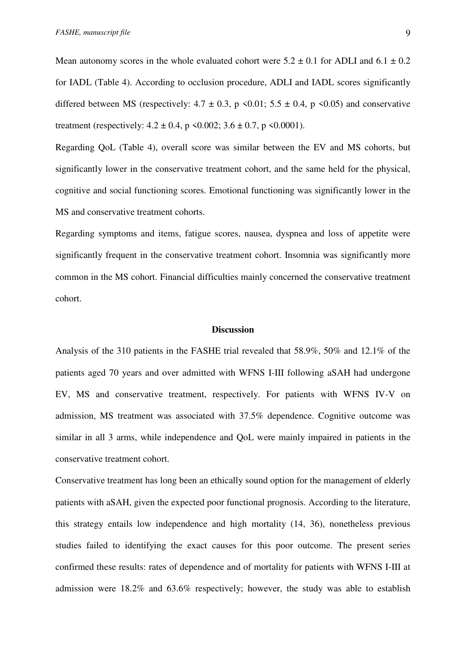Mean autonomy scores in the whole evaluated cohort were  $5.2 \pm 0.1$  for ADLI and  $6.1 \pm 0.2$ for IADL (Table 4). According to occlusion procedure, ADLI and IADL scores significantly differed between MS (respectively:  $4.7 \pm 0.3$ , p  $\le 0.01$ ;  $5.5 \pm 0.4$ , p  $\le 0.05$ ) and conservative treatment (respectively:  $4.2 \pm 0.4$ , p  $\le 0.002$ ;  $3.6 \pm 0.7$ , p  $\le 0.0001$ ).

Regarding QoL (Table 4), overall score was similar between the EV and MS cohorts, but significantly lower in the conservative treatment cohort, and the same held for the physical, cognitive and social functioning scores. Emotional functioning was significantly lower in the MS and conservative treatment cohorts.

Regarding symptoms and items, fatigue scores, nausea, dyspnea and loss of appetite were significantly frequent in the conservative treatment cohort. Insomnia was significantly more common in the MS cohort. Financial difficulties mainly concerned the conservative treatment cohort.

#### **Discussion**

Analysis of the 310 patients in the FASHE trial revealed that 58.9%, 50% and 12.1% of the patients aged 70 years and over admitted with WFNS I-III following aSAH had undergone EV, MS and conservative treatment, respectively. For patients with WFNS IV-V on admission, MS treatment was associated with 37.5% dependence. Cognitive outcome was similar in all 3 arms, while independence and QoL were mainly impaired in patients in the conservative treatment cohort.

Conservative treatment has long been an ethically sound option for the management of elderly patients with aSAH, given the expected poor functional prognosis. According to the literature, this strategy entails low independence and high mortality (14, 36), nonetheless previous studies failed to identifying the exact causes for this poor outcome. The present series confirmed these results: rates of dependence and of mortality for patients with WFNS I-III at admission were 18.2% and 63.6% respectively; however, the study was able to establish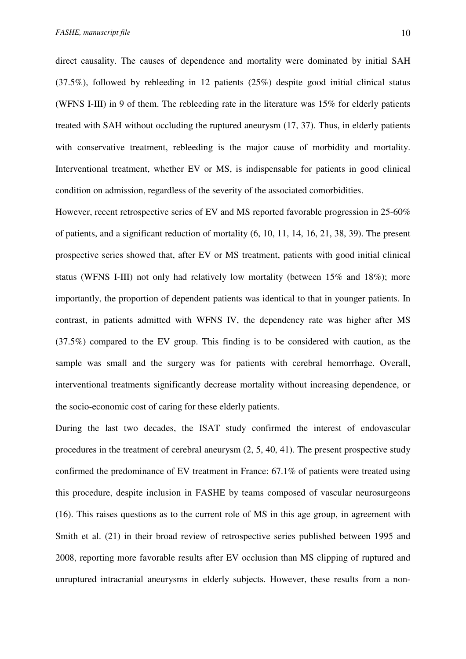direct causality. The causes of dependence and mortality were dominated by initial SAH (37.5%), followed by rebleeding in 12 patients (25%) despite good initial clinical status (WFNS I-III) in 9 of them. The rebleeding rate in the literature was 15% for elderly patients treated with SAH without occluding the ruptured aneurysm (17, 37). Thus, in elderly patients with conservative treatment, rebleeding is the major cause of morbidity and mortality. Interventional treatment, whether EV or MS, is indispensable for patients in good clinical condition on admission, regardless of the severity of the associated comorbidities.

However, recent retrospective series of EV and MS reported favorable progression in 25-60% of patients, and a significant reduction of mortality (6, 10, 11, 14, 16, 21, 38, 39). The present prospective series showed that, after EV or MS treatment, patients with good initial clinical status (WFNS I-III) not only had relatively low mortality (between 15% and 18%); more importantly, the proportion of dependent patients was identical to that in younger patients. In contrast, in patients admitted with WFNS IV, the dependency rate was higher after MS (37.5%) compared to the EV group. This finding is to be considered with caution, as the sample was small and the surgery was for patients with cerebral hemorrhage. Overall, interventional treatments significantly decrease mortality without increasing dependence, or the socio-economic cost of caring for these elderly patients.

During the last two decades, the ISAT study confirmed the interest of endovascular procedures in the treatment of cerebral aneurysm (2, 5, 40, 41). The present prospective study confirmed the predominance of EV treatment in France: 67.1% of patients were treated using this procedure, despite inclusion in FASHE by teams composed of vascular neurosurgeons (16). This raises questions as to the current role of MS in this age group, in agreement with Smith et al. (21) in their broad review of retrospective series published between 1995 and 2008, reporting more favorable results after EV occlusion than MS clipping of ruptured and unruptured intracranial aneurysms in elderly subjects. However, these results from a non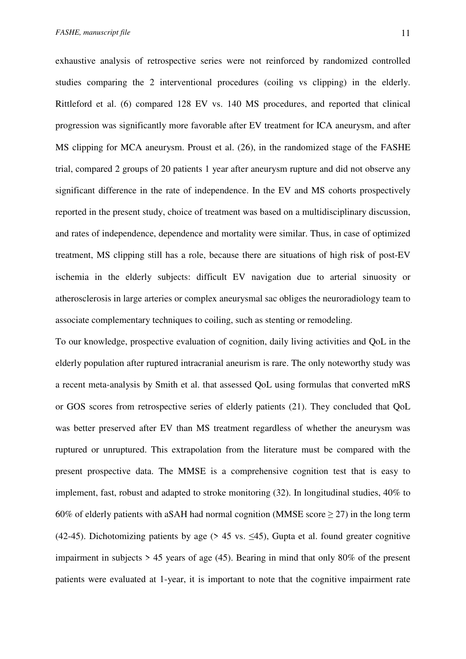exhaustive analysis of retrospective series were not reinforced by randomized controlled studies comparing the 2 interventional procedures (coiling vs clipping) in the elderly. Rittleford et al. (6) compared 128 EV vs. 140 MS procedures, and reported that clinical progression was significantly more favorable after EV treatment for ICA aneurysm, and after MS clipping for MCA aneurysm. Proust et al. (26), in the randomized stage of the FASHE trial, compared 2 groups of 20 patients 1 year after aneurysm rupture and did not observe any significant difference in the rate of independence. In the EV and MS cohorts prospectively reported in the present study, choice of treatment was based on a multidisciplinary discussion, and rates of independence, dependence and mortality were similar. Thus, in case of optimized treatment, MS clipping still has a role, because there are situations of high risk of post-EV ischemia in the elderly subjects: difficult EV navigation due to arterial sinuosity or atherosclerosis in large arteries or complex aneurysmal sac obliges the neuroradiology team to associate complementary techniques to coiling, such as stenting or remodeling.

To our knowledge, prospective evaluation of cognition, daily living activities and QoL in the elderly population after ruptured intracranial aneurism is rare. The only noteworthy study was a recent meta-analysis by Smith et al. that assessed QoL using formulas that converted mRS or GOS scores from retrospective series of elderly patients (21). They concluded that QoL was better preserved after EV than MS treatment regardless of whether the aneurysm was ruptured or unruptured. This extrapolation from the literature must be compared with the present prospective data. The MMSE is a comprehensive cognition test that is easy to implement, fast, robust and adapted to stroke monitoring (32). In longitudinal studies, 40% to 60% of elderly patients with aSAH had normal cognition (MMSE score  $\geq$  27) in the long term (42-45). Dichotomizing patients by age ( $> 45$  vs.  $\leq 45$ ), Gupta et al. found greater cognitive impairment in subjects  $> 45$  years of age (45). Bearing in mind that only 80% of the present patients were evaluated at 1-year, it is important to note that the cognitive impairment rate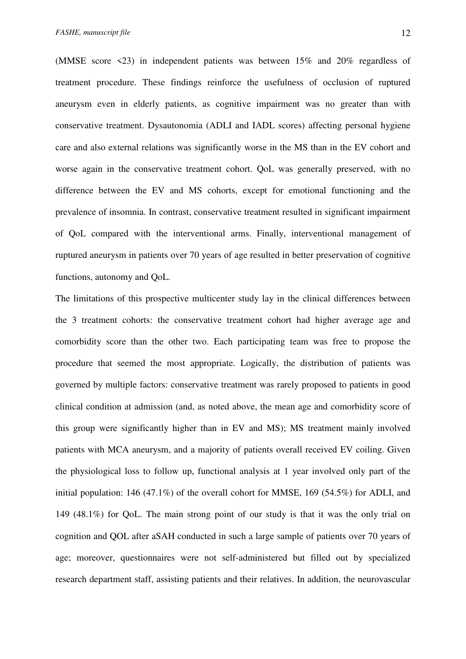(MMSE score <23) in independent patients was between 15% and 20% regardless of treatment procedure. These findings reinforce the usefulness of occlusion of ruptured aneurysm even in elderly patients, as cognitive impairment was no greater than with conservative treatment. Dysautonomia (ADLI and IADL scores) affecting personal hygiene care and also external relations was significantly worse in the MS than in the EV cohort and worse again in the conservative treatment cohort. QoL was generally preserved, with no difference between the EV and MS cohorts, except for emotional functioning and the prevalence of insomnia. In contrast, conservative treatment resulted in significant impairment of QoL compared with the interventional arms. Finally, interventional management of ruptured aneurysm in patients over 70 years of age resulted in better preservation of cognitive functions, autonomy and QoL.

The limitations of this prospective multicenter study lay in the clinical differences between the 3 treatment cohorts: the conservative treatment cohort had higher average age and comorbidity score than the other two. Each participating team was free to propose the procedure that seemed the most appropriate. Logically, the distribution of patients was governed by multiple factors: conservative treatment was rarely proposed to patients in good clinical condition at admission (and, as noted above, the mean age and comorbidity score of this group were significantly higher than in EV and MS); MS treatment mainly involved patients with MCA aneurysm, and a majority of patients overall received EV coiling. Given the physiological loss to follow up, functional analysis at 1 year involved only part of the initial population: 146 (47.1%) of the overall cohort for MMSE, 169 (54.5%) for ADLI, and 149 (48.1%) for QoL. The main strong point of our study is that it was the only trial on cognition and QOL after aSAH conducted in such a large sample of patients over 70 years of age; moreover, questionnaires were not self-administered but filled out by specialized research department staff, assisting patients and their relatives. In addition, the neurovascular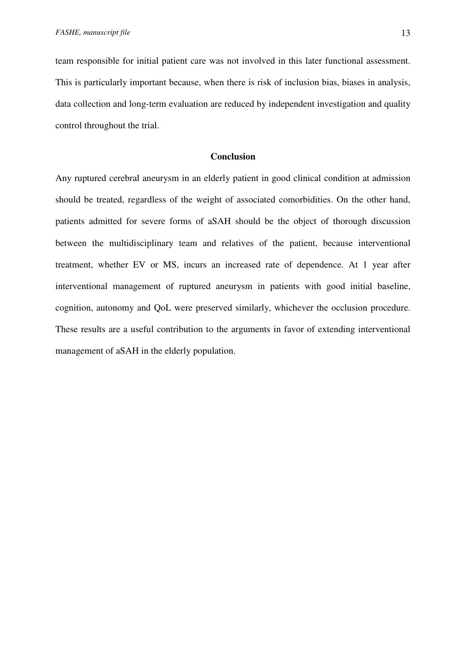team responsible for initial patient care was not involved in this later functional assessment. This is particularly important because, when there is risk of inclusion bias, biases in analysis, data collection and long-term evaluation are reduced by independent investigation and quality control throughout the trial.

#### **Conclusion**

Any ruptured cerebral aneurysm in an elderly patient in good clinical condition at admission should be treated, regardless of the weight of associated comorbidities. On the other hand, patients admitted for severe forms of aSAH should be the object of thorough discussion between the multidisciplinary team and relatives of the patient, because interventional treatment, whether EV or MS, incurs an increased rate of dependence. At 1 year after interventional management of ruptured aneurysm in patients with good initial baseline, cognition, autonomy and QoL were preserved similarly, whichever the occlusion procedure. These results are a useful contribution to the arguments in favor of extending interventional management of aSAH in the elderly population.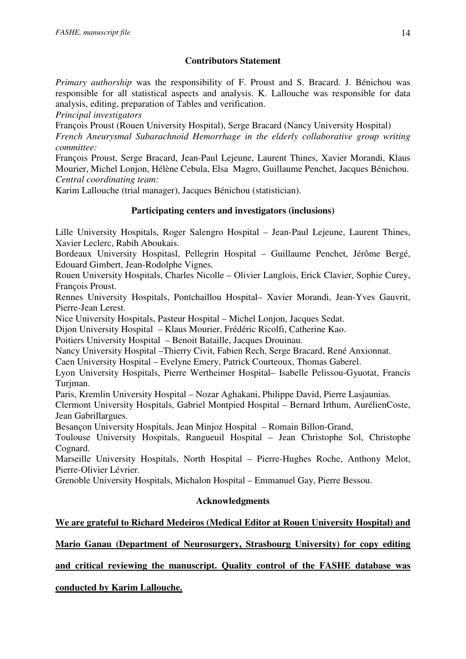# **Contributors Statement**

*Primary authorship* was the responsibility of F. Proust and S. Bracard. J. Bénichou was responsible for all statistical aspects and analysis. K. Lallouche was responsible for data analysis, editing, preparation of Tables and verification.

*Principal investigators* 

François Proust (Rouen University Hospital), Serge Bracard (Nancy University Hospital)

*French Aneurysmal Subarachnoid Hemorrhage in the elderly collaborative group writing committee:* 

François Proust, Serge Bracard, Jean-Paul Lejeune, Laurent Thines, Xavier Morandi, Klaus Mourier, Michel Lonjon, Hélène Cebula, Elsa Magro, Guillaume Penchet, Jacques Bénichou. *Central coordinating team:* 

Karim Lallouche (trial manager), Jacques Bénichou (statistician).

# **Participating centers and investigators (inclusions)**

Lille University Hospitals, Roger Salengro Hospital – Jean-Paul Lejeune, Laurent Thines, Xavier Leclerc, Rabih Aboukais.

Bordeaux University Hospitasl, Pellegrin Hospital – Guillaume Penchet, Jérôme Bergé, Edouard Gimbert, Jean-Rodolphe Vignes.

Rouen University Hospitals, Charles Nicolle – Olivier Langlois, Erick Clavier, Sophie Curey, François Proust.

Rennes University Hospitals, Pontchaillou Hospital– Xavier Morandi, Jean-Yves Gauvrit, Pierre-Jean Lerest.

Nice University Hospitals, Pasteur Hospital – Michel Lonjon, Jacques Sedat.

Dijon University Hospital – Klaus Mourier, Frédéric Ricolfi, Catherine Kao.

Poitiers University Hospital – Benoit Bataille, Jacques Drouinau.

Nancy University Hospital –Thierry Civit, Fabien Rech, Serge Bracard, René Anxionnat.

Caen University Hospital – Evelyne Emery, Patrick Courteoux, Thomas Gaberel.

Lyon University Hospitals, Pierre Wertheimer Hospital– Isabelle Pelissou-Gyuotat, Francis Turiman.

Paris, Kremlin University Hospital – Nozar Aghakani, Philippe David, Pierre Lasjaunias.

Clermont University Hospitals, Gabriel Montpied Hospital – Bernard Irthum, AurélienCoste, Jean Gabrillargues.

Besançon University Hospitals, Jean Minjoz Hospital – Romain Billon-Grand,

Toulouse University Hospitals, Rangueuil Hospital – Jean Christophe Sol, Christophe Cognard.

Marseille University Hospitals, North Hospital – Pierre-Hughes Roche, Anthony Melot, Pierre-Olivier Lévrier.

Grenoble University Hospitals, Michalon Hospital – Emmanuel Gay, Pierre Bessou.

# **Acknowledgments**

# **We are grateful to Richard Medeiros (Medical Editor at Rouen University Hospital) and**

**Mario Ganau (Department of Neurosurgery, Strasbourg University) for copy editing** 

**and critical reviewing the manuscript. Quality control of the FASHE database was** 

**conducted by Karim Lallouche.**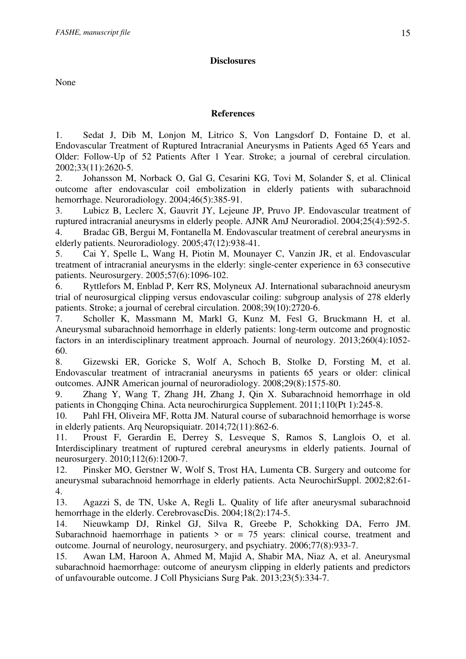## **Disclosures**

None

## **References**

1. Sedat J, Dib M, Lonjon M, Litrico S, Von Langsdorf D, Fontaine D, et al. Endovascular Treatment of Ruptured Intracranial Aneurysms in Patients Aged 65 Years and Older: Follow-Up of 52 Patients After 1 Year. Stroke; a journal of cerebral circulation. 2002;33(11):2620-5.

2. Johansson M, Norback O, Gal G, Cesarini KG, Tovi M, Solander S, et al. Clinical outcome after endovascular coil embolization in elderly patients with subarachnoid hemorrhage. Neuroradiology. 2004;46(5):385-91.

3. Lubicz B, Leclerc X, Gauvrit JY, Lejeune JP, Pruvo JP. Endovascular treatment of ruptured intracranial aneurysms in elderly people. AJNR AmJ Neuroradiol. 2004;25(4):592-5.

4. Bradac GB, Bergui M, Fontanella M. Endovascular treatment of cerebral aneurysms in elderly patients. Neuroradiology. 2005;47(12):938-41.

5. Cai Y, Spelle L, Wang H, Piotin M, Mounayer C, Vanzin JR, et al. Endovascular treatment of intracranial aneurysms in the elderly: single-center experience in 63 consecutive patients. Neurosurgery. 2005;57(6):1096-102.

6. Ryttlefors M, Enblad P, Kerr RS, Molyneux AJ. International subarachnoid aneurysm trial of neurosurgical clipping versus endovascular coiling: subgroup analysis of 278 elderly patients. Stroke; a journal of cerebral circulation. 2008;39(10):2720-6.

7. Scholler K, Massmann M, Markl G, Kunz M, Fesl G, Bruckmann H, et al. Aneurysmal subarachnoid hemorrhage in elderly patients: long-term outcome and prognostic factors in an interdisciplinary treatment approach. Journal of neurology. 2013;260(4):1052- 60.

8. Gizewski ER, Goricke S, Wolf A, Schoch B, Stolke D, Forsting M, et al. Endovascular treatment of intracranial aneurysms in patients 65 years or older: clinical outcomes. AJNR American journal of neuroradiology. 2008;29(8):1575-80.

9. Zhang Y, Wang T, Zhang JH, Zhang J, Qin X. Subarachnoid hemorrhage in old patients in Chongqing China. Acta neurochirurgica Supplement. 2011;110(Pt 1):245-8.

10. Pahl FH, Oliveira MF, Rotta JM. Natural course of subarachnoid hemorrhage is worse in elderly patients. Arq Neuropsiquiatr. 2014;72(11):862-6.

11. Proust F, Gerardin E, Derrey S, Lesveque S, Ramos S, Langlois O, et al. Interdisciplinary treatment of ruptured cerebral aneurysms in elderly patients. Journal of neurosurgery. 2010;112(6):1200-7.

12. Pinsker MO, Gerstner W, Wolf S, Trost HA, Lumenta CB. Surgery and outcome for aneurysmal subarachnoid hemorrhage in elderly patients. Acta NeurochirSuppl. 2002;82:61- 4.

13. Agazzi S, de TN, Uske A, Regli L. Quality of life after aneurysmal subarachnoid hemorrhage in the elderly. CerebrovascDis. 2004;18(2):174-5.

14. Nieuwkamp DJ, Rinkel GJ, Silva R, Greebe P, Schokking DA, Ferro JM. Subarachnoid haemorrhage in patients  $>$  or = 75 years: clinical course, treatment and outcome. Journal of neurology, neurosurgery, and psychiatry. 2006;77(8):933-7.

15. Awan LM, Haroon A, Ahmed M, Majid A, Shabir MA, Niaz A, et al. Aneurysmal subarachnoid haemorrhage: outcome of aneurysm clipping in elderly patients and predictors of unfavourable outcome. J Coll Physicians Surg Pak. 2013;23(5):334-7.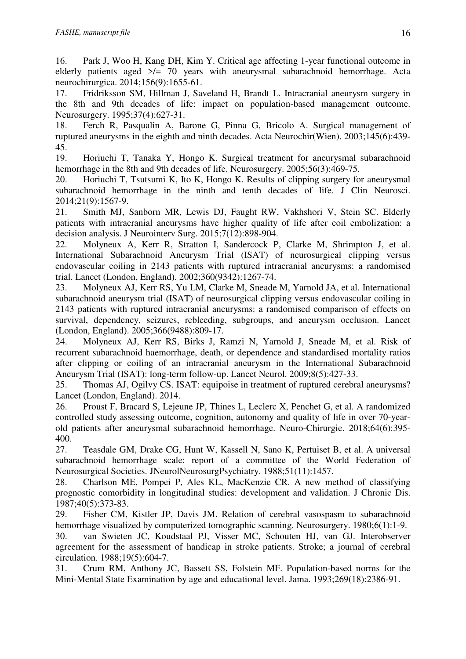16. Park J, Woo H, Kang DH, Kim Y. Critical age affecting 1-year functional outcome in elderly patients aged  $\ge$ /= 70 years with aneurysmal subarachnoid hemorrhage. Acta neurochirurgica. 2014;156(9):1655-61.

17. Fridriksson SM, Hillman J, Saveland H, Brandt L. Intracranial aneurysm surgery in the 8th and 9th decades of life: impact on population-based management outcome. Neurosurgery. 1995;37(4):627-31.

18. Ferch R, Pasqualin A, Barone G, Pinna G, Bricolo A. Surgical management of ruptured aneurysms in the eighth and ninth decades. Acta Neurochir(Wien). 2003;145(6):439- 45.

19. Horiuchi T, Tanaka Y, Hongo K. Surgical treatment for aneurysmal subarachnoid hemorrhage in the 8th and 9th decades of life. Neurosurgery. 2005;56(3):469-75.

20. Horiuchi T, Tsutsumi K, Ito K, Hongo K. Results of clipping surgery for aneurysmal subarachnoid hemorrhage in the ninth and tenth decades of life. J Clin Neurosci. 2014;21(9):1567-9.

21. Smith MJ, Sanborn MR, Lewis DJ, Faught RW, Vakhshori V, Stein SC. Elderly patients with intracranial aneurysms have higher quality of life after coil embolization: a decision analysis. J Neurointerv Surg. 2015;7(12):898-904.

22. Molyneux A, Kerr R, Stratton I, Sandercock P, Clarke M, Shrimpton J, et al. International Subarachnoid Aneurysm Trial (ISAT) of neurosurgical clipping versus endovascular coiling in 2143 patients with ruptured intracranial aneurysms: a randomised trial. Lancet (London, England). 2002;360(9342):1267-74.

23. Molyneux AJ, Kerr RS, Yu LM, Clarke M, Sneade M, Yarnold JA, et al. International subarachnoid aneurysm trial (ISAT) of neurosurgical clipping versus endovascular coiling in 2143 patients with ruptured intracranial aneurysms: a randomised comparison of effects on survival, dependency, seizures, rebleeding, subgroups, and aneurysm occlusion. Lancet (London, England). 2005;366(9488):809-17.

24. Molyneux AJ, Kerr RS, Birks J, Ramzi N, Yarnold J, Sneade M, et al. Risk of recurrent subarachnoid haemorrhage, death, or dependence and standardised mortality ratios after clipping or coiling of an intracranial aneurysm in the International Subarachnoid Aneurysm Trial (ISAT): long-term follow-up. Lancet Neurol. 2009;8(5):427-33.

25. Thomas AJ, Ogilvy CS. ISAT: equipoise in treatment of ruptured cerebral aneurysms? Lancet (London, England). 2014.

26. Proust F, Bracard S, Lejeune JP, Thines L, Leclerc X, Penchet G, et al. A randomized controlled study assessing outcome, cognition, autonomy and quality of life in over 70-yearold patients after aneurysmal subarachnoid hemorrhage. Neuro-Chirurgie. 2018;64(6):395- 400.

27. Teasdale GM, Drake CG, Hunt W, Kassell N, Sano K, Pertuiset B, et al. A universal subarachnoid hemorrhage scale: report of a committee of the World Federation of Neurosurgical Societies. JNeurolNeurosurgPsychiatry. 1988;51(11):1457.

28. Charlson ME, Pompei P, Ales KL, MacKenzie CR. A new method of classifying prognostic comorbidity in longitudinal studies: development and validation. J Chronic Dis. 1987;40(5):373-83.

29. Fisher CM, Kistler JP, Davis JM. Relation of cerebral vasospasm to subarachnoid hemorrhage visualized by computerized tomographic scanning. Neurosurgery. 1980;6(1):1-9.

30. van Swieten JC, Koudstaal PJ, Visser MC, Schouten HJ, van GJ. Interobserver agreement for the assessment of handicap in stroke patients. Stroke; a journal of cerebral circulation. 1988;19(5):604-7.

31. Crum RM, Anthony JC, Bassett SS, Folstein MF. Population-based norms for the Mini-Mental State Examination by age and educational level. Jama. 1993;269(18):2386-91.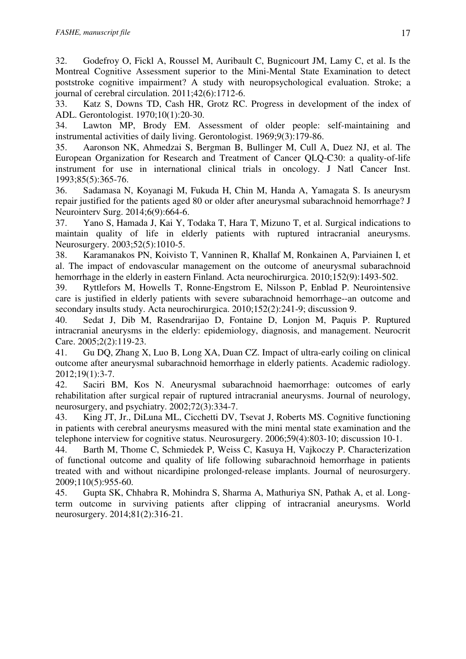32. Godefroy O, Fickl A, Roussel M, Auribault C, Bugnicourt JM, Lamy C, et al. Is the Montreal Cognitive Assessment superior to the Mini-Mental State Examination to detect poststroke cognitive impairment? A study with neuropsychological evaluation. Stroke; a journal of cerebral circulation. 2011;42(6):1712-6.

33. Katz S, Downs TD, Cash HR, Grotz RC. Progress in development of the index of ADL. Gerontologist. 1970;10(1):20-30.

34. Lawton MP, Brody EM. Assessment of older people: self-maintaining and instrumental activities of daily living. Gerontologist. 1969;9(3):179-86.

35. Aaronson NK, Ahmedzai S, Bergman B, Bullinger M, Cull A, Duez NJ, et al. The European Organization for Research and Treatment of Cancer QLQ-C30: a quality-of-life instrument for use in international clinical trials in oncology. J Natl Cancer Inst. 1993;85(5):365-76.

36. Sadamasa N, Koyanagi M, Fukuda H, Chin M, Handa A, Yamagata S. Is aneurysm repair justified for the patients aged 80 or older after aneurysmal subarachnoid hemorrhage? J Neurointerv Surg. 2014;6(9):664-6.

37. Yano S, Hamada J, Kai Y, Todaka T, Hara T, Mizuno T, et al. Surgical indications to maintain quality of life in elderly patients with ruptured intracranial aneurysms. Neurosurgery. 2003;52(5):1010-5.

38. Karamanakos PN, Koivisto T, Vanninen R, Khallaf M, Ronkainen A, Parviainen I, et al. The impact of endovascular management on the outcome of aneurysmal subarachnoid hemorrhage in the elderly in eastern Finland. Acta neurochirurgica. 2010;152(9):1493-502.

39. Ryttlefors M, Howells T, Ronne-Engstrom E, Nilsson P, Enblad P. Neurointensive care is justified in elderly patients with severe subarachnoid hemorrhage--an outcome and secondary insults study. Acta neurochirurgica. 2010;152(2):241-9; discussion 9.

40. Sedat J, Dib M, Rasendrarijao D, Fontaine D, Lonjon M, Paquis P. Ruptured intracranial aneurysms in the elderly: epidemiology, diagnosis, and management. Neurocrit Care. 2005;2(2):119-23.

41. Gu DQ, Zhang X, Luo B, Long XA, Duan CZ. Impact of ultra-early coiling on clinical outcome after aneurysmal subarachnoid hemorrhage in elderly patients. Academic radiology. 2012;19(1):3-7.

42. Saciri BM, Kos N. Aneurysmal subarachnoid haemorrhage: outcomes of early rehabilitation after surgical repair of ruptured intracranial aneurysms. Journal of neurology, neurosurgery, and psychiatry. 2002;72(3):334-7.

43. King JT, Jr., DiLuna ML, Cicchetti DV, Tsevat J, Roberts MS. Cognitive functioning in patients with cerebral aneurysms measured with the mini mental state examination and the telephone interview for cognitive status. Neurosurgery. 2006;59(4):803-10; discussion 10-1.

44. Barth M, Thome C, Schmiedek P, Weiss C, Kasuya H, Vajkoczy P. Characterization of functional outcome and quality of life following subarachnoid hemorrhage in patients treated with and without nicardipine prolonged-release implants. Journal of neurosurgery. 2009;110(5):955-60.

45. Gupta SK, Chhabra R, Mohindra S, Sharma A, Mathuriya SN, Pathak A, et al. Longterm outcome in surviving patients after clipping of intracranial aneurysms. World neurosurgery. 2014;81(2):316-21.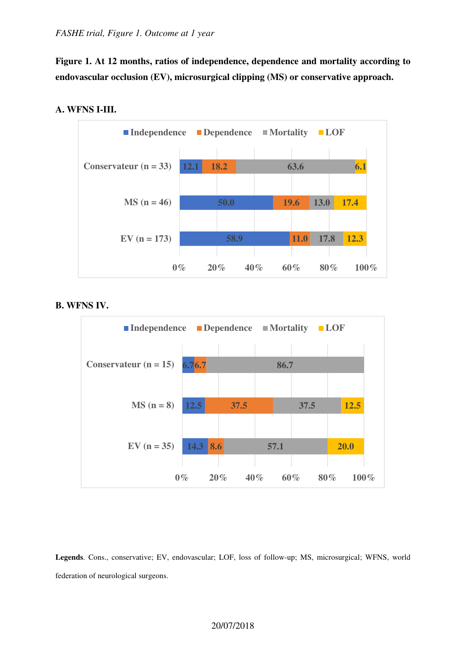**Figure 1. At 12 months, ratios of independence, dependence and mortality according to endovascular occlusion (EV), microsurgical clipping (MS) or conservative approach.** 



# **A. WFNS I-III.**

## **B. WFNS IV.**



**Legends**. Cons., conservative; EV, endovascular; LOF, loss of follow-up; MS, microsurgical; WFNS, world federation of neurological surgeons.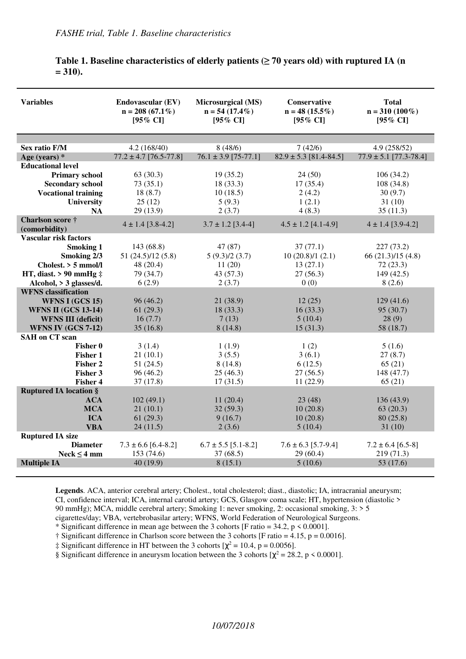| <b>Variables</b>                  | <b>Endovascular (EV)</b><br>$n = 208(67.1\%)$<br>$[95\% \text{ CI}]$ | Microsurgical (MS)<br>$n = 54(17.4\%)$<br>$[95\% \text{ CI}]$ | <b>Conservative</b><br>$n = 48(15.5\%)$<br>$[95\% \text{ CI}]$ | <b>Total</b><br>$n = 310 (100\%)$<br>$[95\% \text{ CI}]$ |
|-----------------------------------|----------------------------------------------------------------------|---------------------------------------------------------------|----------------------------------------------------------------|----------------------------------------------------------|
|                                   |                                                                      |                                                               |                                                                |                                                          |
| <b>Sex ratio F/M</b>              | 4.2(168/40)                                                          | 8(48/6)                                                       | 7(42/6)                                                        | 4.9 (258/52)                                             |
| Age (years) $*$                   | $77.2 \pm 4.7$ [76.5-77.8]                                           | $76.1 \pm 3.9$ [75-77.1]                                      | $82.9 \pm 5.3$ [81.4-84.5]                                     | $77.9 \pm 5.1$ [77.3-78.4]                               |
| <b>Educational level</b>          |                                                                      |                                                               |                                                                |                                                          |
| <b>Primary school</b>             | 63(30.3)                                                             | 19(35.2)                                                      | 24(50)                                                         | 106(34.2)                                                |
| <b>Secondary school</b>           | 73(35.1)                                                             | 18 (33.3)                                                     | 17(35.4)                                                       | 108 (34.8)                                               |
| <b>Vocational training</b>        | 18(8.7)                                                              | 10(18.5)                                                      | 2(4.2)                                                         | 30(9.7)                                                  |
| <b>University</b>                 | 25(12)                                                               | 5(9.3)                                                        | 1(2.1)                                                         | 31(10)                                                   |
| <b>NA</b>                         | 29 (13.9)                                                            | 2(3.7)                                                        | 4(8.3)                                                         | 35(11.3)                                                 |
| Charlson score †<br>(comorbidity) | $4 \pm 1.4$ [3.8-4.2]                                                | $3.7 \pm 1.2$ [3.4-4]                                         | $4.5 \pm 1.2$ [4.1-4.9]                                        | $4 \pm 1.4$ [3.9-4.2]                                    |
| <b>Vascular risk factors</b>      |                                                                      |                                                               |                                                                |                                                          |
| <b>Smoking 1</b>                  | 143 (68.8)                                                           | 47 (87)                                                       | 37(77.1)                                                       | 227(73.2)                                                |
| Smoking 2/3                       | 51(24.5)/12(5.8)                                                     | 5(9.3)/2(3.7)                                                 | 10(20.8)/1(2.1)                                                | 66(21.3)/15(4.8)                                         |
| Cholest. > 5 mmol/l               | 48 (20.4)                                                            | 11(20)                                                        | 13(27.1)                                                       | 72(23.3)                                                 |
| HT, diast. $> 90$ mmHg $\ddagger$ | 79 (34.7)                                                            | 43 (57.3)                                                     | 27(56.3)                                                       | 149 (42.5)                                               |
| Alcohol, > 3 glasses/d.           | 6(2.9)                                                               | 2(3.7)                                                        | 0(0)                                                           | 8(2.6)                                                   |
| <b>WFNS</b> classification        |                                                                      |                                                               |                                                                |                                                          |
| WFNS I (GCS 15)                   | 96(46.2)                                                             | 21(38.9)                                                      | 12(25)                                                         | 129(41.6)                                                |
| <b>WFNS II (GCS 13-14)</b>        | 61(29.3)                                                             | 18(33.3)                                                      | 16(33.3)                                                       | 95(30.7)                                                 |
| <b>WFNS III (deficit)</b>         | 16(7.7)                                                              | 7(13)                                                         | 5(10.4)                                                        | 28(9)                                                    |
| <b>WFNS IV (GCS 7-12)</b>         | 35(16.8)                                                             | 8(14.8)                                                       | 15(31.3)                                                       | 58 (18.7)                                                |
| <b>SAH</b> on CT scan             |                                                                      |                                                               |                                                                |                                                          |
| Fisher 0                          | 3(1.4)                                                               | 1(1.9)                                                        | 1(2)                                                           | 5(1.6)                                                   |
| <b>Fisher 1</b>                   | 21(10.1)                                                             | 3(5.5)                                                        | 3(6.1)                                                         | 27(8.7)                                                  |
| Fisher 2                          | 51(24.5)                                                             | 8(14.8)                                                       | 6(12.5)                                                        | 65(21)                                                   |
| <b>Fisher 3</b>                   | 96(46.2)                                                             | 25(46.3)                                                      | 27(56.5)                                                       | 148 (47.7)                                               |
| <b>Fisher 4</b>                   | 37(17.8)                                                             | 17(31.5)                                                      | 11(22.9)                                                       | 65(21)                                                   |
| <b>Ruptured IA location §</b>     |                                                                      |                                                               |                                                                |                                                          |
| <b>ACA</b>                        | 102(49.1)                                                            | 11(20.4)                                                      | 23(48)                                                         | 136 (43.9)                                               |
| <b>MCA</b>                        | 21(10.1)                                                             | 32(59.3)                                                      | 10(20.8)                                                       | 63(20.3)                                                 |
| <b>ICA</b>                        | 61(29.3)                                                             | 9(16.7)                                                       | 10(20.8)                                                       | 80(25.8)                                                 |
| <b>VBA</b>                        | 24(11.5)                                                             | 2(3.6)                                                        | 5(10.4)                                                        | 31(10)                                                   |
| <b>Ruptured IA size</b>           |                                                                      |                                                               |                                                                |                                                          |
| <b>Diameter</b>                   | $7.3 \pm 6.6$ [6.4-8.2]                                              | $6.7 \pm 5.5$ [5.1-8.2]                                       | $7.6 \pm 6.3$ [5.7-9.4]                                        | $7.2 \pm 6.4$ [6.5-8]                                    |
| $Neck \leq 4$ mm                  | 153 (74.6)                                                           | 37(68.5)                                                      | 29(60.4)                                                       | 219 (71.3)                                               |
| <b>Multiple IA</b>                | 40(19.9)                                                             | 8(15.1)                                                       | 5(10.6)                                                        | 53 (17.6)                                                |
|                                   |                                                                      |                                                               |                                                                |                                                          |

# **Table 1. Baseline characteristics of elderly patients (≥ 70 years old) with ruptured IA (n = 310).**

Legends. ACA, anterior cerebral artery; Cholest., total cholesterol; diast., diastolic; IA, intracranial aneurysm; CI, confidence interval; ICA, internal carotid artery; GCS, Glasgow coma scale; HT, hypertension (diastolic > 90 mmHg); MCA, middle cerebral artery; Smoking 1: never smoking, 2: occasional smoking, 3: > 5 cigarettes/day; VBA, vertebrobasilar artery; WFNS, World Federation of Neurological Surgeons.

\* Significant difference in mean age between the 3 cohorts [F ratio =  $34.2$ , p  $\leq 0.0001$ ].

† Significant difference in Charlson score between the 3 cohorts [F ratio = 4.15, p = 0.0016].

 $\ddagger$  Significant difference in HT between the 3 cohorts  $[\chi^2 = 10.4, p = 0.0056]$ .

§ Significant difference in aneurysm location between the 3 cohorts  $[\chi^2 = 28.2, p \le 0.0001]$ .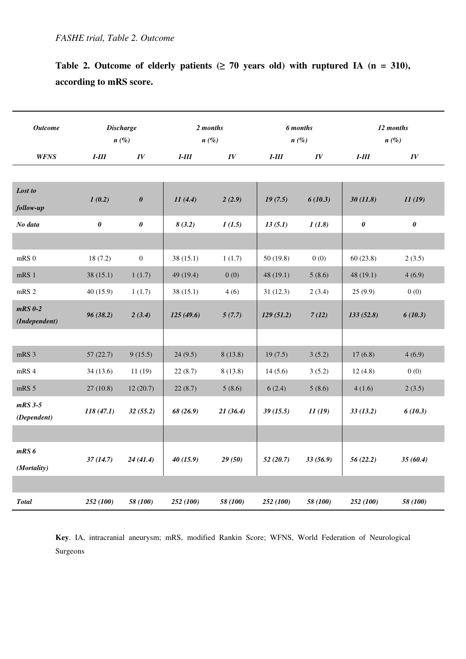| Table 2. Outcome of elderly patients ( $\geq 70$ years old) with ruptured IA (n = 310), |  |
|-----------------------------------------------------------------------------------------|--|
| according to mRS score.                                                                 |  |

| <b>Outcome</b>             |           | <b>Discharge</b>      |           | 2 months |           | 6 months |                | 12 months      |
|----------------------------|-----------|-----------------------|-----------|----------|-----------|----------|----------------|----------------|
|                            | $n(\%)$   |                       | $n\ (\%)$ |          | $n(\%)$   |          | $n(\%)$        |                |
| <b>WFNS</b>                | $I-III$   | IV                    | $I-III$   | IV       | $I-III$   | IV       | $I-III$        | IV             |
|                            |           |                       |           |          |           |          |                |                |
| Lost to                    |           |                       |           |          |           |          |                |                |
| follow-up                  | 1(0.2)    | $\pmb{\theta}$        | 11(4.4)   | 2(2.9)   | 19(7.5)   | 6(10.3)  | 30(11.8)       | 11(19)         |
| No data                    | 0         | $\boldsymbol{\theta}$ | 8(3.2)    | 1(1.5)   | 13(5.1)   | 1(1.8)   | $\pmb{\theta}$ | $\pmb{\theta}$ |
|                            |           |                       |           |          |           |          |                |                |
| $mRS$ <sub>0</sub>         | 18(7.2)   | $\boldsymbol{0}$      | 38(15.1)  | 1(1.7)   | 50(19.8)  | 0(0)     | 60(23.8)       | 2(3.5)         |
| $mRS$ 1                    | 38(15.1)  | 1(1.7)                | 49 (19.4) | 0(0)     | 48(19.1)  | 5(8.6)   | 48(19.1)       | 4(6.9)         |
| mRS <sub>2</sub>           | 40(15.9)  | 1(1.7)                | 38(15.1)  | 4(6)     | 31(12.3)  | 2(3.4)   | 25(9.9)        | 0(0)           |
| $mRS$ 0-2<br>(Independent) | 96(38.2)  | 2(3.4)                | 125(49.6) | 5(7.7)   | 129(51.2) | 7(12)    | 133(52.8)      | 6(10.3)        |
|                            |           |                       |           |          |           |          |                |                |
| mRS 3                      | 57(22.7)  | 9(15.5)               | 24(9.5)   | 8(13.8)  | 19(7.5)   | 3(5.2)   | 17(6.8)        | 4(6.9)         |
| mRS 4                      | 34(13.6)  | 11(19)                | 22(8.7)   | 8(13.8)  | 14(5.6)   | 3(5.2)   | 12(4.8)        | 0(0)           |
| mRS 5                      | 27(10.8)  | 12(20.7)              | 22(8.7)   | 5(8.6)   | 6(2.4)    | 5(8.6)   | 4(1.6)         | 2(3.5)         |
| $mRS$ 3-5<br>(Dependent)   | 118(47.1) | 32(55.2)              | 68 (26.9) | 21(36.4) | 39(15.5)  | 11(19)   | 33(13.2)       | 6(10.3)        |
|                            |           |                       |           |          |           |          |                |                |
| $mRS$ $6$                  |           |                       |           |          |           |          |                |                |
| (Mortality)                | 37(14.7)  | 24(41.4)              | 40(15.9)  | 29(50)   | 52(20.7)  | 33(56.9) | 56(22.2)       | 35(60.4)       |
|                            |           |                       |           |          |           |          |                |                |
| <b>Total</b>               | 252 (100) | 58 (100)              | 252 (100) | 58 (100) | 252 (100) | 58 (100) | 252 (100)      | 58 (100)       |

**Key**. IA, intracranial aneurysm; mRS, modified Rankin Score; WFNS, World Federation of Neurological Surgeons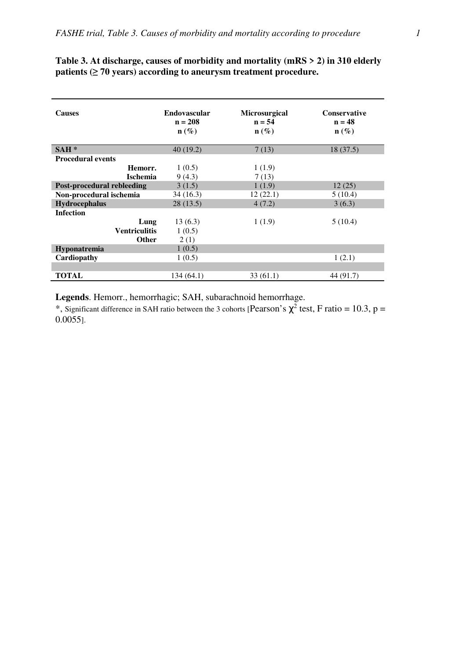| <b>Causes</b>              | <b>Endovascular</b><br>$n = 208$<br>$\mathbf{n}(\%)$ | <b>Microsurgical</b><br>$n = 54$<br>$\mathbf{n}(\%)$ | <b>Conservative</b><br>$n = 48$<br>$\mathbf{n}(\%)$ |
|----------------------------|------------------------------------------------------|------------------------------------------------------|-----------------------------------------------------|
| $SAH*$                     | 40(19.2)                                             | 7(13)                                                | 18(37.5)                                            |
| <b>Procedural events</b>   |                                                      |                                                      |                                                     |
| Hemorr.                    | 1(0.5)                                               | 1(1.9)                                               |                                                     |
| <b>Ischemia</b>            | 9(4.3)                                               | 7(13)                                                |                                                     |
| Post-procedural rebleeding | 3(1.5)                                               | 1(1.9)                                               | 12(25)                                              |
| Non-procedural ischemia    | 34 (16.3)                                            | 12(22.1)                                             | 5(10.4)                                             |
| <b>Hydrocephalus</b>       | 28(13.5)                                             | 4(7.2)                                               | 3(6.3)                                              |
| <b>Infection</b>           |                                                      |                                                      |                                                     |
| Lung                       | 13(6.3)                                              | 1(1.9)                                               | 5(10.4)                                             |
| <b>Ventriculitis</b>       | 1(0.5)                                               |                                                      |                                                     |
| <b>Other</b>               | 2(1)                                                 |                                                      |                                                     |
| Hyponatremia               | 1(0.5)                                               |                                                      |                                                     |
| Cardiopathy                | 1(0.5)                                               |                                                      | 1(2.1)                                              |
|                            |                                                      |                                                      |                                                     |
| TOTAL                      | 134 (64.1)                                           | 33(61.1)                                             | 44 (91.7)                                           |

# **Table 3. At discharge, causes of morbidity and mortality (mRS > 2) in 310 elderly patients (≥ 70 years) according to aneurysm treatment procedure.**

**Legends**. Hemorr., hemorrhagic; SAH, subarachnoid hemorrhage.

\*, Significant difference in SAH ratio between the 3 cohorts [Pearson's  $\chi^2$  test, F ratio = 10.3, p = 0.0055].